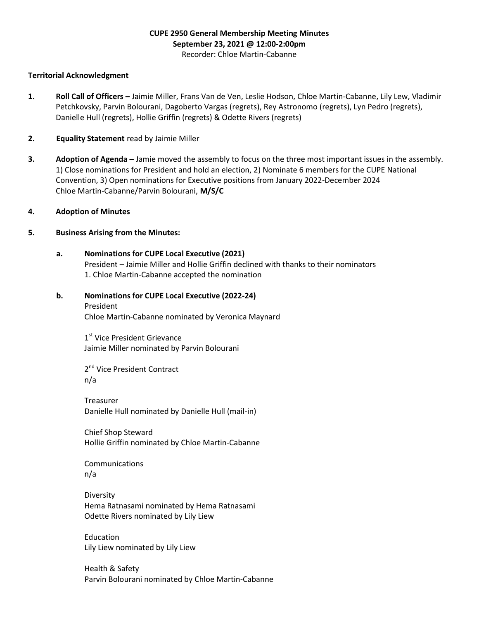# CUPE 2950 General Membership Meeting Minutes September 23, 2021 @ 12:00-2:00pm Recorder: Chloe Martin-Cabanne

#### Territorial Acknowledgment

- 1. Roll Call of Officers Jaimie Miller, Frans Van de Ven, Leslie Hodson, Chloe Martin-Cabanne, Lily Lew, Vladimir Petchkovsky, Parvin Bolourani, Dagoberto Vargas (regrets), Rey Astronomo (regrets), Lyn Pedro (regrets), Danielle Hull (regrets), Hollie Griffin (regrets) & Odette Rivers (regrets)
- 2. Equality Statement read by Jaimie Miller
- 3. Adoption of Agenda Jamie moved the assembly to focus on the three most important issues in the assembly. 1) Close nominations for President and hold an election, 2) Nominate 6 members for the CUPE National Convention, 3) Open nominations for Executive positions from January 2022-December 2024 Chloe Martin-Cabanne/Parvin Bolourani, M/S/C
- 4. Adoption of Minutes

#### 5. Business Arising from the Minutes:

- a. Nominations for CUPE Local Executive (2021) President – Jaimie Miller and Hollie Griffin declined with thanks to their nominators 1. Chloe Martin-Cabanne accepted the nomination
- b. Nominations for CUPE Local Executive (2022-24) President

Chloe Martin-Cabanne nominated by Veronica Maynard

1st Vice President Grievance Jaimie Miller nominated by Parvin Bolourani

2<sup>nd</sup> Vice President Contract n/a

 Treasurer Danielle Hull nominated by Danielle Hull (mail-in)

 Chief Shop Steward Hollie Griffin nominated by Chloe Martin-Cabanne

 Communications n/a

 Diversity Hema Ratnasami nominated by Hema Ratnasami Odette Rivers nominated by Lily Liew

 Education Lily Liew nominated by Lily Liew

Health & Safety Parvin Bolourani nominated by Chloe Martin-Cabanne